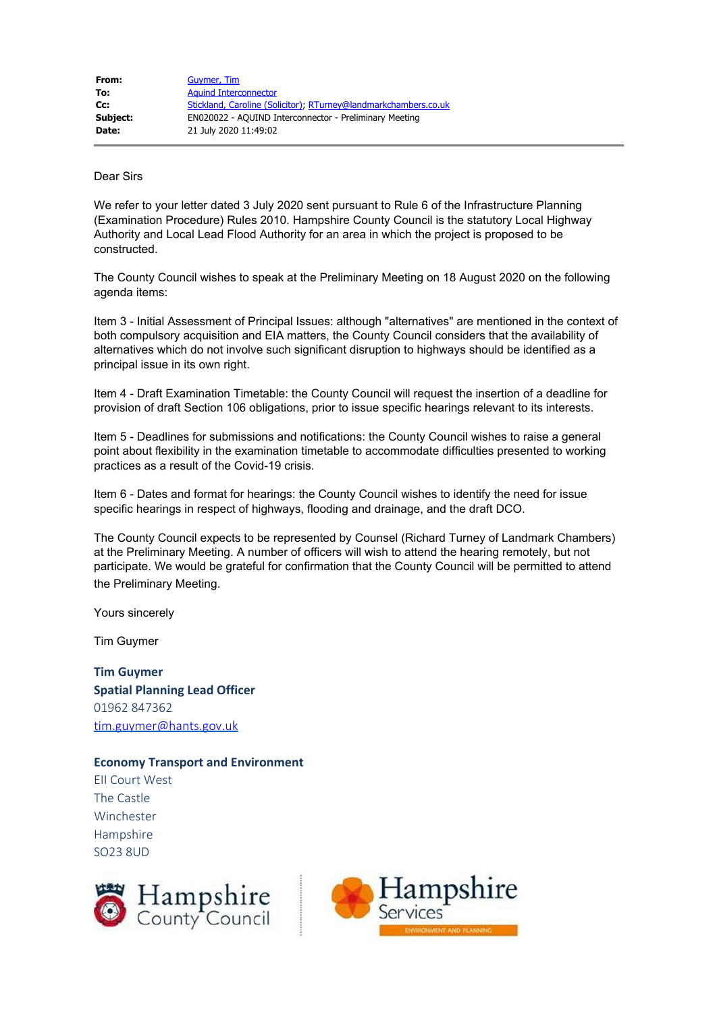| From:    | Guymer, Tim                                                     |
|----------|-----------------------------------------------------------------|
| To:      | <b>Aguind Interconnector</b>                                    |
| $Cc$ :   | Stickland, Caroline (Solicitor), RTurney@landmarkchambers.co.uk |
| Subject: | EN020022 - AQUIND Interconnector - Preliminary Meeting          |
| Date:    | 21 July 2020 11:49:02                                           |

## Dear Sirs

We refer to your letter dated 3 July 2020 sent pursuant to Rule 6 of the Infrastructure Planning (Examination Procedure) Rules 2010. Hampshire County Council is the statutory Local Highway Authority and Local Lead Flood Authority for an area in which the project is proposed to be constructed.

The County Council wishes to speak at the Preliminary Meeting on 18 August 2020 on the following agenda items:

Item 3 - Initial Assessment of Principal Issues: although "alternatives" are mentioned in the context of both compulsory acquisition and EIA matters, the County Council considers that the availability of alternatives which do not involve such significant disruption to highways should be identified as a principal issue in its own right.

Item 4 - Draft Examination Timetable: the County Council will request the insertion of a deadline for provision of draft Section 106 obligations, prior to issue specific hearings relevant to its interests.

Item 5 - Deadlines for submissions and notifications: the County Council wishes to raise a general point about flexibility in the examination timetable to accommodate difficulties presented to working practices as a result of the Covid-19 crisis.

Item 6 - Dates and format for hearings: the County Council wishes to identify the need for issue specific hearings in respect of highways, flooding and drainage, and the draft DCO.

The County Council expects to be represented by Counsel (Richard Turney of Landmark Chambers) at the Preliminary Meeting. A number of officers will wish to attend the hearing remotely, but not participate. We would be grateful for confirmation that the County Council will be permitted to attend the Preliminary Meeting.

Yours sincerely

Tim Guymer

**Tim Guymer Spatial Planning Lead Officer** 01962 847362 [tim.guymer@hants.gov.uk](mailto:tim.guymer@hants.gov.uk)

## **Economy Transport and Environment**

EII Court West The Castle Winchester Hampshire SO23 8UD